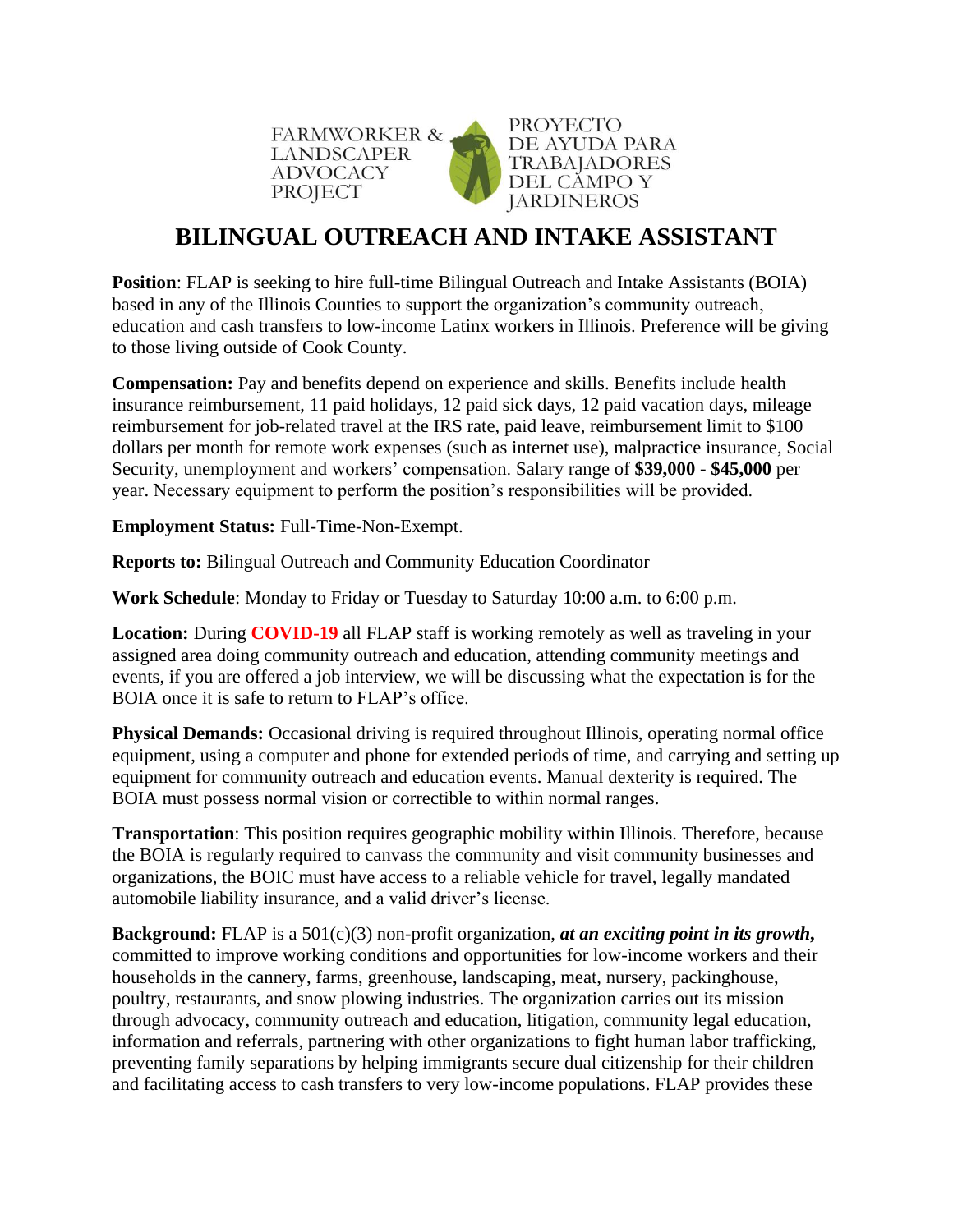



## **BILINGUAL OUTREACH AND INTAKE ASSISTANT**

**Position**: [FLAP](http://www.fwadvocacy.org/) is seeking to hire full-time Bilingual Outreach and Intake Assistants (BOIA) based in any of the Illinois Counties to support the organization's community outreach, education and cash transfers to low-income Latinx workers in Illinois. Preference will be giving to those living outside of Cook County.

**Compensation:** Pay and benefits depend on experience and skills. Benefits include health insurance reimbursement, 11 paid holidays, 12 paid sick days, 12 paid vacation days, mileage reimbursement for job-related travel at the IRS rate, paid leave, reimbursement limit to \$100 dollars per month for remote work expenses (such as internet use), malpractice insurance, Social Security, unemployment and workers' compensation. Salary range of **\$39,000 - \$45,000** per year. Necessary equipment to perform the position's responsibilities will be provided.

**Employment Status:** Full-Time-Non-Exempt.

**Reports to:** Bilingual Outreach and Community Education Coordinator

**Work Schedule**: Monday to Friday or Tuesday to Saturday 10:00 a.m. to 6:00 p.m.

Location: During **COVID-19** all FLAP staff is working remotely as well as traveling in your assigned area doing community outreach and education, attending community meetings and events, if you are offered a job interview, we will be discussing what the expectation is for the BOIA once it is safe to return to FLAP's office.

**Physical Demands:** Occasional driving is required throughout Illinois, operating normal office equipment, using a computer and phone for extended periods of time, and carrying and setting up equipment for community outreach and education events. Manual dexterity is required. The BOIA must possess normal vision or correctible to within normal ranges.

**Transportation**: This position requires geographic mobility within Illinois. Therefore, because the BOIA is regularly required to canvass the community and visit community businesses and organizations, the BOIC must have access to a reliable vehicle for travel, legally mandated automobile liability insurance, and a valid driver's license.

**Background:** FLAP is a 501(c)(3) non-profit organization, *at an exciting point in its growth***,** committed to improve working conditions and opportunities for low-income workers and their households in the cannery, farms, greenhouse, landscaping, meat, nursery, packinghouse, poultry, restaurants, and snow plowing industries. The organization carries out its mission through advocacy, community outreach and education, litigation, community legal education, information and referrals, partnering with other organizations to fight human labor trafficking, preventing family separations by helping immigrants secure dual citizenship for their children and facilitating access to cash transfers to very low-income populations. FLAP provides these